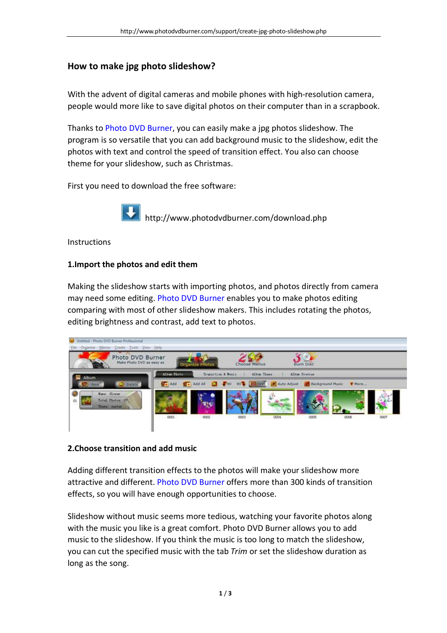# **How to make jpg photo slideshow?**

With the advent of digital cameras and mobile phones with high-resolution camera, people would more like to save digital photos on their computer than in a scrapbook.

Thanks to Photo DVD Burner, you can easily make a jpg photos slideshow. The program is so versatile that you can add background music to the slideshow, edit the photos with text and control the speed of transition effect. You also can choose theme for your slideshow, such as Christmas.

First you need to download the free software:



http://www.photodvdburner.com/download.php

**Instructions** 

# **1.Import the photos and edit them**

Making the slideshow starts with importing photos, and photos directly from camera may need some editing. Photo DVD Burner enables you to make photos editing comparing with most of other slideshow makers. This includes rotating the photos, editing brightness and contrast, add text to photos.



## **2.Choose transition and add music**

Adding different transition effects to the photos will make your slideshow more attractive and different. Photo DVD Burner offers more than 300 kinds of transition effects, so you will have enough opportunities to choose.

Slideshow without music seems more tedious, watching your favorite photos along with the music you like is a great comfort. Photo DVD Burner allows you to add music to the slideshow. If you think the music is too long to match the slideshow, you can cut the specified music with the tab *Trim* or set the slideshow duration as long as the song.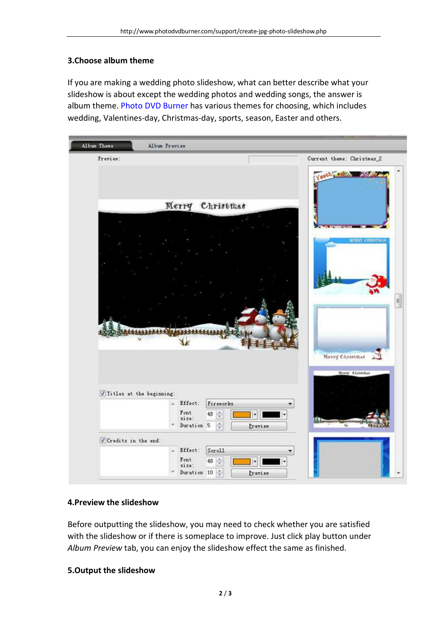# **3.Choose album theme**

If you are making a wedding photo slideshow, what can better describe what your slideshow is about except the wedding photos and wedding songs, the answer is album theme. Photo DVD Burner has various themes for choosing, which includes wedding, Valentines-day, Christmas-day, sports, season, Easter and others.



## **4.Preview the slideshow**

Before outputting the slideshow, you may need to check whether you are satisfied with the slideshow or if there is someplace to improve. Just click play button under *Album Preview* tab, you can enjoy the slideshow effect the same as finished.

## **5.Output the slideshow**